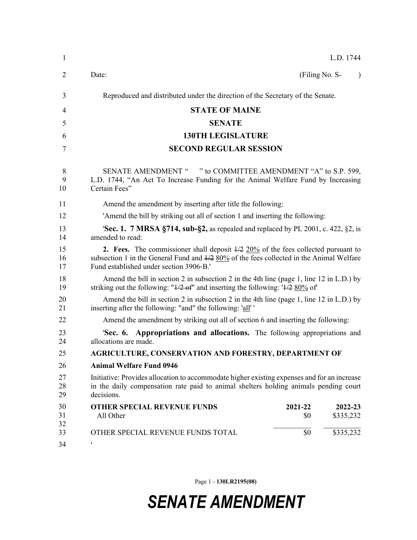| $\mathbf{1}$   |                                                                                                                                                                                                                                        |                | L.D. 1744            |  |  |
|----------------|----------------------------------------------------------------------------------------------------------------------------------------------------------------------------------------------------------------------------------------|----------------|----------------------|--|--|
| 2              | Date:                                                                                                                                                                                                                                  | (Filing No. S- | $\lambda$            |  |  |
| 3              | Reproduced and distributed under the direction of the Secretary of the Senate.                                                                                                                                                         |                |                      |  |  |
| 4              | <b>STATE OF MAINE</b>                                                                                                                                                                                                                  |                |                      |  |  |
| 5              | <b>SENATE</b>                                                                                                                                                                                                                          |                |                      |  |  |
| 6              | <b>130TH LEGISLATURE</b>                                                                                                                                                                                                               |                |                      |  |  |
| 7              | <b>SECOND REGULAR SESSION</b>                                                                                                                                                                                                          |                |                      |  |  |
| 8<br>9<br>10   | SENATE AMENDMENT " " to COMMITTEE AMENDMENT "A" to S.P. 599,<br>L.D. 1744, "An Act To Increase Funding for the Animal Welfare Fund by Increasing<br>Certain Fees"                                                                      |                |                      |  |  |
| 11             | Amend the amendment by inserting after title the following:                                                                                                                                                                            |                |                      |  |  |
| 12             | 'Amend the bill by striking out all of section 1 and inserting the following:                                                                                                                                                          |                |                      |  |  |
| 13<br>14       | <b>'Sec. 1. 7 MRSA §714, sub-§2,</b> as repealed and replaced by PL 2001, c. 422, §2, is<br>amended to read:                                                                                                                           |                |                      |  |  |
| 15<br>16<br>17 | 2. Fees. The commissioner shall deposit $\frac{1}{2}$ 20% of the fees collected pursuant to<br>subsection 1 in the General Fund and $1/2$ $80\%$ of the fees collected in the Animal Welfare<br>Fund established under section 3906-B. |                |                      |  |  |
| 18<br>19       | Amend the bill in section 2 in subsection 2 in the 4th line (page 1, line 12 in L.D.) by<br>striking out the following: " $\frac{1}{2}$ of" and inserting the following: ' $\frac{1}{2}$ 80% of                                        |                |                      |  |  |
| 20<br>21       | Amend the bill in section 2 in subsection 2 in the 4th line (page 1, line 12 in L.D.) by<br>inserting after the following: "and" the following: 'all' '                                                                                |                |                      |  |  |
| 22             | Amend the amendment by striking out all of section 6 and inserting the following:                                                                                                                                                      |                |                      |  |  |
| 23<br>24       | 'Sec. 6. Appropriations and allocations. The following appropriations and<br>allocations are made.                                                                                                                                     |                |                      |  |  |
| 25             | AGRICULTURE, CONSERVATION AND FORESTRY, DEPARTMENT OF                                                                                                                                                                                  |                |                      |  |  |
| 26             | <b>Animal Welfare Fund 0946</b>                                                                                                                                                                                                        |                |                      |  |  |
| 27<br>28<br>29 | Initiative: Provides allocation to accommodate higher existing expenses and for an increase<br>in the daily compensation rate paid to animal shelters holding animals pending court<br>decisions.                                      |                |                      |  |  |
| 30<br>31<br>32 | <b>OTHER SPECIAL REVENUE FUNDS</b><br>All Other                                                                                                                                                                                        | 2021-22<br>\$0 | 2022-23<br>\$335,232 |  |  |
| 33<br>34       | OTHER SPECIAL REVENUE FUNDS TOTAL<br>,                                                                                                                                                                                                 | \$0            | \$335,232            |  |  |

Page 1 - **130LR2195(08)**

## *SENATE AMENDMENT*